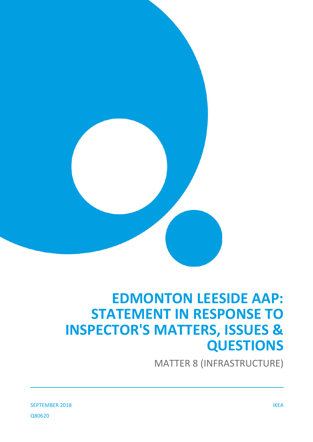

# **EDMONTON LEESIDE AAP: STATEMENT IN RESPONSE TO INSPECTOR'S MATTERS, ISSUES & QUESTIONS**

MATTER 8 (INFRASTRUCTURE)

SEPTEMBER 2018 IKEA Q80620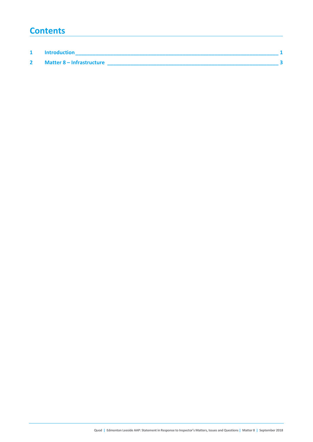### **Contents**

| <b>Introduction</b>       |  |
|---------------------------|--|
| Matter 8 – Infrastructure |  |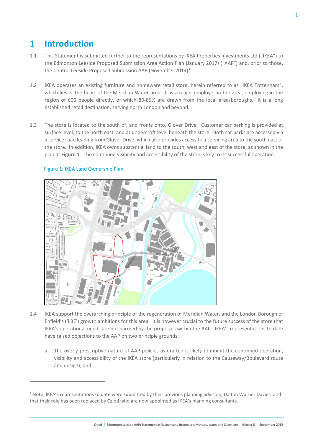## **1 Introduction**

- 1.1 This Statement is submitted further to the representations by IKEA Properties Investments Ltd ("IKEA") to the Edmonton Leeside Proposed Submission Area Action Plan (January 2017) ("AAP") and, prior to those, the Central Leeside Proposed Submission AAP (November 20[1](#page-2-0)4)<sup>1</sup>.
- 1.2 IKEA operates an existing furniture and homeware retail store, herein referred to as "IKEA Tottenham", which lies at the heart of the Meridian Water area. It is a major employer in the area, employing in the region of 600 people directly, of which 80-85% are drawn from the local area/boroughs. It is a long established retail destination, serving north London and beyond.
- 1.3 The store is located to the south of, and fronts onto, Glover Drive. Customer car parking is provided at surface level, to the north east, and at undercroft level beneath the store. Both car parks are accessed via a service road leading from Glover Drive, which also provides access to a servicing area to the south east of the store. In addition, IKEA owns substantial land to the south, west and east of the store, as shown in the plan at **Figure 1**. The continued visibility and accessibility of the store is key to its successful operation.



### Figure 1: IKEA Land Ownership Plan

 $\overline{a}$ 

- 1.4 IKEA support the overarching principle of the regeneration of Meridian Water, and the London Borough of Enfield's ('LBE') growth ambitions for this area. It is however crucial to the future success of the store that IKEA's operational needs are not harmed by the proposals within the AAP. IKEA's representations to date have raised objections to the AAP on two principle grounds:
	- a. The overly prescriptive nature of AAP policies as drafted is likely to inhibit the continued operation, visibility and accessibility of the IKEA store (particularly in relation to the Causeway/Boulevard route and design); and

<span id="page-2-0"></span> $1$  Note: IKEA's representations to date were submitted by their previous planning advisors, Dalton Warner Davies, and that their role has been replaced by Quod who are now appointed as IKEA's planning consultants.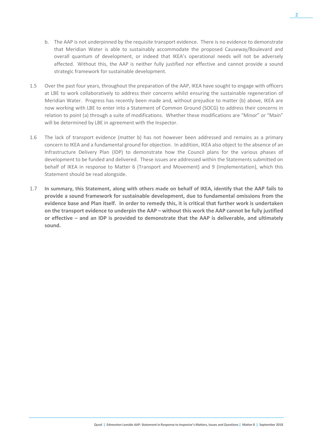- b. The AAP is not underpinned by the requisite transport evidence. There is no evidence to demonstrate that Meridian Water is able to sustainably accommodate the proposed Causeway/Boulevard and overall quantum of development, or indeed that IKEA's operational needs will not be adversely affected. Without this, the AAP is neither fully justified nor effective and cannot provide a sound strategic framework for sustainable development.
- 1.5 Over the past four years, throughout the preparation of the AAP, IKEA have sought to engage with officers at LBE to work collaboratively to address their concerns whilst ensuring the sustainable regeneration of Meridian Water. Progress has recently been made and, without prejudice to matter (b) above, IKEA are now working with LBE to enter into a Statement of Common Ground (SOCG) to address their concerns in relation to point (a) through a suite of modifications. Whether these modifications are "Minor" or "Main" will be determined by LBE in agreement with the Inspector.
- 1.6 The lack of transport evidence (matter b) has not however been addressed and remains as a primary concern to IKEA and a fundamental ground for objection. In addition, IKEA also object to the absence of an Infrastructure Delivery Plan (IDP) to demonstrate how the Council plans for the various phases of development to be funded and delivered. These issues are addressed within the Statements submitted on behalf of IKEA in response to Matter 6 (Transport and Movement) and 9 (Implementation), which this Statement should be read alongside.
- 1.7 **In summary, this Statement, along with others made on behalf of IKEA, identify that the AAP fails to provide a sound framework for sustainable development, due to fundamental omissions from the evidence base and Plan itself. In order to remedy this, it is critical that further work is undertaken on the transport evidence to underpin the AAP – without this work the AAP cannot be fully justified or effective – and an IDP is provided to demonstrate that the AAP is deliverable, and ultimately sound.**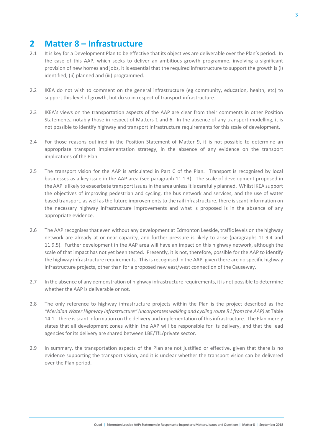## **2 Matter 8 – Infrastructure**

- 2.1 It is key for a Development Plan to be effective that its objectives are deliverable over the Plan's period. In the case of this AAP, which seeks to deliver an ambitious growth programme, involving a significant provision of new homes and jobs, it is essential that the required infrastructure to support the growth is (i) identified, (ii) planned and (iii) programmed.
- 2.2 IKEA do not wish to comment on the general infrastructure (eg community, education, health, etc) to support this level of growth, but do so in respect of transport infrastructure.
- 2.3 IKEA's views on the transportation aspects of the AAP are clear from their comments in other Position Statements, notably those in respect of Matters 1 and 6. In the absence of any transport modelling, it is not possible to identify highway and transport infrastructure requirements for this scale of development.
- 2.4 For those reasons outlined in the Position Statement of Matter 9, it is not possible to determine an appropriate transport implementation strategy, in the absence of any evidence on the transport implications of the Plan.
- 2.5 The transport vision for the AAP is articulated in Part C of the Plan. Transport is recognised by local businesses as a key issue in the AAP area (see paragraph 11.1.3). The scale of development proposed in the AAP is likely to exacerbate transport issues in the area unless it is carefully planned. Whilst IKEA support the objectives of improving pedestrian and cycling, the bus network and services, and the use of water based transport, as well as the future improvements to the rail infrastructure, there is scant information on the necessary highway infrastructure improvements and what is proposed is in the absence of any appropriate evidence.
- 2.6 The AAP recognises that even without any development at Edmonton Leeside, traffic levels on the highway network are already at or near capacity, and further pressure is likely to arise (paragraphs 11.9.4 and 11.9.5). Further development in the AAP area will have an impact on this highway network, although the scale of that impact has not yet been tested. Presently, it is not, therefore, possible for the AAP to identify the highway infrastructure requirements. This is recognised in the AAP, given there are no specific highway infrastructure projects, other than for a proposed new east/west connection of the Causeway.
- 2.7 In the absence of any demonstration of highway infrastructure requirements, it is not possible to determine whether the AAP is deliverable or not.
- 2.8 The only reference to highway infrastructure projects within the Plan is the project described as the *"Meridian Water Highway Infrastructure" (incorporates walking and cycling route R1 from the AAP)* at Table 14.1. There is scant information on the delivery and implementation of this infrastructure. The Plan merely states that all development zones within the AAP will be responsible for its delivery, and that the lead agencies for its delivery are shared between LBE/TfL/private sector.
- 2.9 In summary, the transportation aspects of the Plan are not justified or effective, given that there is no evidence supporting the transport vision, and it is unclear whether the transport vision can be delivered over the Plan period.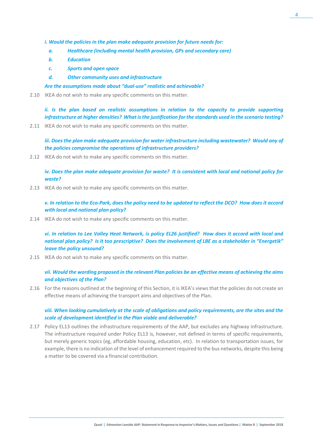- *i. Would the policies in the plan make adequate provision for future needs for:*
	- *a. Healthcare (including mental health provision, GPs and secondary care)*
	- *b. Education*
	- *c. Sports and open space*
	- *d. Other community uses and infrastructure*

#### *Are the assumptions made about "dual-use" realistic and achievable?*

2.10 IKEA do not wish to make any specific comments on this matter.

*ii. Is the plan based on realistic assumptions in relation to the capacity to provide supporting infrastructure at higher densities? What is the justification for the standards used in the scenario testing?*

2.11 IKEA do not wish to make any specific comments on this matter.

*iii. Does the plan make adequate provision for water infrastructure including wastewater? Would any of the policies compromise the operations of infrastructure providers?*

2.12 IKEA do not wish to make any specific comments on this matter.

*iv. Does the plan make adequate provision for waste? It is consistent with local and national policy for waste?*

2.13 IKEA do not wish to make any specific comments on this matter.

*v. In relation to the Eco-Park, does the policy need to be updated to reflect the DCO? How does it accord with local and national plan policy?*

2.14 IKEA do not wish to make any specific comments on this matter.

*vi. In relation to Lee Valley Heat Network, is policy EL26 justified? How does it accord with local and national plan policy? Is it too prescriptive? Does the involvement of LBE as a stakeholder in "Energetik" leave the policy unsound?*

2.15 IKEA do not wish to make any specific comments on this matter.

### *vii. Would the wording proposed in the relevant Plan policies be an effective means of achieving the aims and objectives of the Plan?*

2.16 For the reasons outlined at the beginning of this Section, it is IKEA's views that the policies do not create an effective means of achieving the transport aims and objectives of the Plan.

#### *viii. When looking cumulatively at the scale of obligations and policy requirements, are the sites and the scale of development identified in the Plan viable and deliverable?*

2.17 Policy EL13 outlines the infrastructure requirements of the AAP, but excludes any highway infrastructure. The infrastructure required under Policy EL13 is, however, not defined in terms of specific requirements, but merely generic topics (eg, affordable housing, education, etc). In relation to transportation issues, for example, there is no indication of the level of enhancement required to the bus networks, despite this being a matter to be covered via a financial contribution.